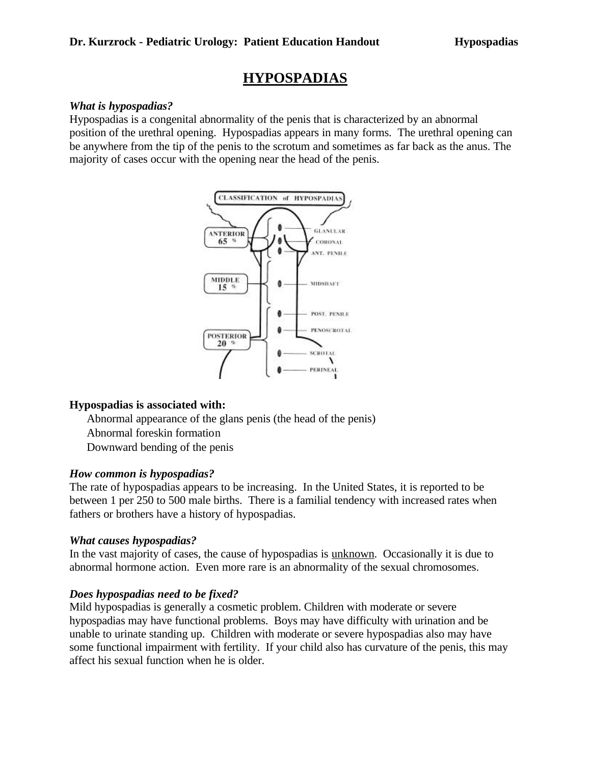# **HYPOSPADIAS**

#### *What is hypospadias?*

Hypospadias is a congenital abnormality of the penis that is characterized by an abnormal position of the urethral opening. Hypospadias appears in many forms. The urethral opening can be anywhere from the tip of the penis to the scrotum and sometimes as far back as the anus. The majority of cases occur with the opening near the head of the penis.



### **Hypospadias is associated with:**

Abnormal appearance of the glans penis (the head of the penis) Abnormal foreskin formation Downward bending of the penis

### *How common is hypospadias?*

The rate of hypospadias appears to be increasing. In the United States, it is reported to be between 1 per 250 to 500 male births. There is a familial tendency with increased rates when fathers or brothers have a history of hypospadias.

#### *What causes hypospadias?*

In the vast majority of cases, the cause of hypospadias is unknown. Occasionally it is due to abnormal hormone action. Even more rare is an abnormality of the sexual chromosomes.

### *Does hypospadias need to be fixed?*

Mild hypospadias is generally a cosmetic problem. Children with moderate or severe hypospadias may have functional problems. Boys may have difficulty with urination and be unable to urinate standing up. Children with moderate or severe hypospadias also may have some functional impairment with fertility. If your child also has curvature of the penis, this may affect his sexual function when he is older.